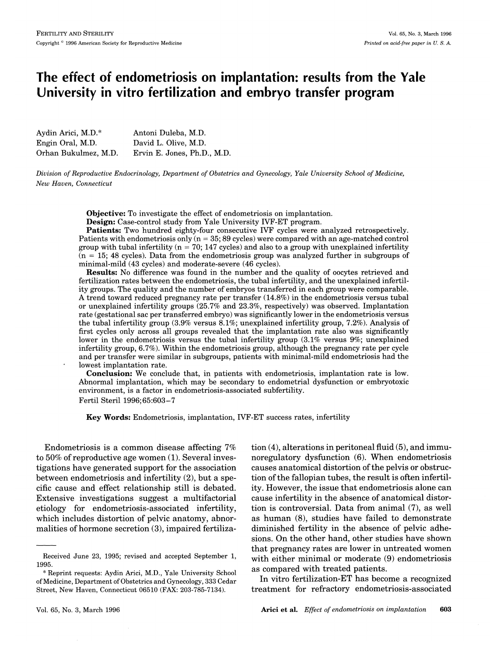# **The effect of endometriosis on implantation: results from the Yale University in vitro fertilization and embryo transfer program**

| Aydin Arici, M.D.*   | Antoni Duleba, M.D.         |
|----------------------|-----------------------------|
| Engin Oral, M.D.     | David L. Olive, M.D.        |
| Orhan Bukulmez, M.D. | Ervin E. Jones, Ph.D., M.D. |

*Division of Reproductive Endocrinology, Department of Obstetrics and Gynecology, Yale University School of Medicine, New Haven, Connecticut* 

Objective: To investigate the effect of endometriosis on implantation.

Design: Case-control study from Yale University IVF-ET program.

Patients: Two hundred eighty-four consecutive IVF cycles were analyzed retrospectively. Patients with endometriosis only  $(n = 35, 89$  cycles) were compared with an age-matched control group with tubal infertility  $(n = 70; 147;$  cycles) and also to a group with unexplained infertility  $(n = 15; 48 \text{ cycles})$ . Data from the endometriosis group was analyzed further in subgroups of minimal-mild (43 cycles) and moderate-severe (46 cycles).

Results: No difference was found in the number and the quality of oocytes retrieved and fertilization rates between the endometriosis, the tubal infertility, and the unexplained infertility groups. The quality and the number of embryos transferred in each group were comparable. A trend toward reduced pregnancy rate per transfer (14.8%) in the endometriosis versus tubal or unexplained infertility groups  $(25.7\%$  and  $23.3\%$ , respectively) was observed. Implantation rate (gestational sac per transferred embryo) was significantly lower in the endometriosis versus the tubal infertility group (3.9% versus 8.1%; unexplained infertility group, 7.2%). Analysis of first cycles only across all groups revealed that the implantation rate also was significantly lower in the endometriosis versus the tubal infertility group (3.1% versus 9%; unexplained infertility group, 6.7%). Within the endometriosis group, although the pregnancy rate per cycle and per transfer were similar in subgroups, patients with minimal-mild endometriosis had the lowest implantation rate.

Conclusion: We conclude that, in patients with endometriosis, implantation rate is low. Abnormal implantation, which may be secondary to endometrial dysfunction or embryotoxic environment, is a factor in endometriosis-associated subfertility. Fertil Steril 1996; 65:603-7

Key Words: Endometriosis, implantation, IVF-ET success rates, infertility

Endometriosis is a common disease affecting 7% to 50% of reproductive age women (1). Several investigations have generated support for the association between endometriosis and infertility (2), but a specific cause and effect relationship still is debated. Extensive investigations suggest a multifactorial etiology for endometriosis-associated infertility, which includes distortion of pelvic anatomy, abnormalities of hormone secretion (3), impaired fertiliza-

tion (4), alterations in peritoneal fluid (5), and immunoregulatory dysfunction (6). When endometriosis causes anatomical distortion of the pelvis or obstruction of the fallopian tubes, the result is often infertility. However, the issue that endometriosis alone can cause infertility in the absence of anatomical distortion is controversial. Data from animal (7), as well as human (8), studies have failed to demonstrate diminished fertility in the absence of pelvic adhesions. On the other hand, other studies have shown that pregnancy rates are lower in untreated women with either minimal or moderate (9) endometriosis as compared with treated patients.

In vitro fertilization-ET has become a recognized treatment for refractory endometriosis-associated

Received June 23, 1995; revised and accepted September 1, 1995.

<sup>\*</sup> Reprint requests: Aydin Arici, M.D., Yale University School of Medicine , Department of Obstetrics and Gynecology, 333 Cedar Street, New Haven, Connecticut 06510 (FAX: 203-785-7134).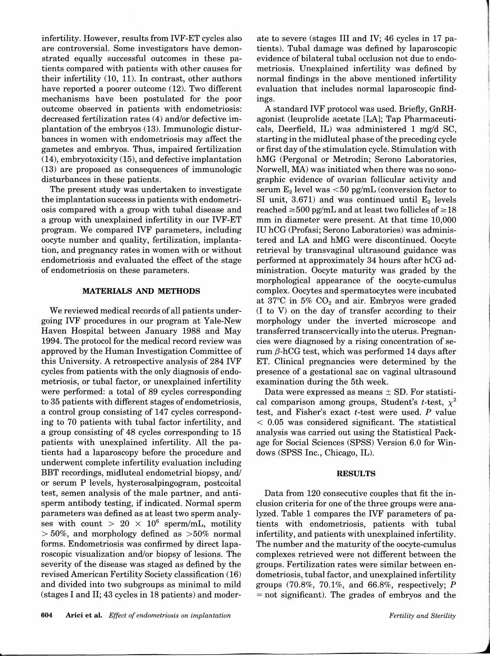infertility. However, results from IVF-ET cycles also are controversial. Some investigators have demonstrated equally successful outcomes in these patients compared with patients with other causes for their infertility (10, 11). In contrast, other authors have reported a poorer outcome (12). Two different mechanisms have been postulated for the poor outcome observed in patients with endometriosis: decreased fertilization rates (4) and/or defective implantation of the embryos (13). Immunologic disturbances in women with endometriosis may affect the gametes and embryos. Thus, impaired fertilization (14), embryotoxicity (15), and defective implantation (13) are proposed as consequences of immunologic disturbances in these patients.

The present study was undertaken to investigate the implantation success in patients with endometriosis compared with a group with tubal disease and a group with unexplained infertility in our IVF-ET program. We compared IVF parameters, including oocyte number and quality, fertilization, implantation, and pregnancy rates in women with or without endometriosis and evaluated the effect of the stage of endometriosis on these parameters.

## MATERIALS AND METHODS

We reviewed medical records of all patients undergoing IVF procedures in our program at Yale-New Haven Hospital between January 1988 and May 1994. The protocol for the medical record review was approved by the Human Investigation Committee of this University. A retrospective analysis of 284 IVF cycles from patients with the only diagnosis of endometriosis, or tubal factor, or unexplained infertility were performed: a total of 89 cycles corresponding to 35 patients with different stages of endometriosis, a control group consisting of 147 cycles corresponding to 70 patients with tubal factor infertility, and a group consisting of 48 cycles corresponding to 15 patients with unexplained infertility. All the patients had a laparoscopy before the procedure and underwent complete infertility evaluation including BBT recordings, midluteal endometrial biopsy, and/ or serum P levels, hysterosalpingogram, postcoital test, semen analysis of the male partner, and antisperm antibody testing, if indicated. Normal sperm parameters was defined as at least two sperm analyses with count  $> 20 \times 10^6$  sperm/mL, motility  $> 50\%$ , and morphology defined as  $> 50\%$  normal forms. Endometriosis was confirmed by direct laparoscopic visualization and/or biopsy of lesions. The severity of the disease was staged as defined by the revised American Fertility Society classification (16) and divided into two subgroups as minimal to mild (stages I and II; 43 cycles in 18 patients) and moderate to severe (stages III and IV; 46 cycles in 17 patients). Tubal damage was defined by laparoscopic evidence of bilateral tubal occlusion not due to endometriosis. Unexplained infertility was defined by normal findings in the above mentioned infertility evaluation that includes normal laparoscopic findings.

A standard IVF protocol was used. Briefly, GnRHagonist (leuprolide acetate [LA]; Tap Pharmaceuticals, Deerfield, IL) was administered 1 mg/d SC, starting in the midluteal phase of the preceding cycle or first day of the stimulation cycle. Stimulation with hMG (Pergonal or Metrodin; Serono Laboratories, Norwell, MA) was initiated when there was no sonographic evidence of ovarian follicular activity and serum  $E_2$  level was  $<50$  pg/mL (conversion factor to SI unit, 3.671) and was continued until  $E_2$  levels reached  $\geq 500$  pg/mL and at least two follicles of  $\geq 18$ mm in diameter were present. At that time 10,000 IU hCG (Profasi; Serono Laboratories) was administered and LA and hMG were discontinued. Oocyte retrieval by transvaginal ultrasound guidance was performed at approximately 34 hours after hCG administration. Oocyte maturity was graded by the morphological appearance of the oocyte-cumulus complex. Oocytes and spermatocytes were incubated at  $37^{\circ}$ C in  $5\%$  CO<sub>2</sub> and air. Embryos were graded (I to V) on the day of transfer according to their morphology under the inverted microscope and transferred transcervically into the uterus. Pregnancies were diagnosed by a rising concentration of serum  $\beta$ -hCG test, which was performed 14 days after ET. Clinical pregnancies were determined by the presence of a gestational sac on vaginal ultrasound examination during the 5th week.

Data were expressed as means  $\pm$  SD. For statistical comparison among groups, Student's *t*-test,  $\chi^2$ test, and Fisher's exact *t-test* were used. P value  $< 0.05$  was considered significant. The statistical analysis was carried out using the Statistical Package for Social Sciences (SPSS) Version 6.0 for Windows (SPSS Inc., Chicago, IL).

#### RESULTS

Data from 120 consecutive couples that fit the inclusion criteria for one of the three groups were analyzed. Table 1 compares the IVF parameters of patients with endometriosis, patients with tubal infertility, and patients with unexplained infertility. The number and the maturity of the oocyte-cumulus complexes retrieved were not different between the groups. Fertilization rates were similar between endometriosis, tubal factor, and unexplained infertility groups (70.8%, 70.1%, and 66.8%, respectively; *P*  = not significant). The grades of embryos and the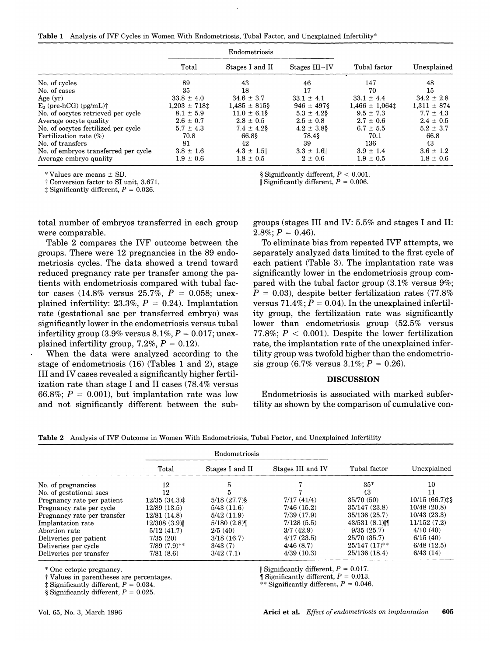Table 1 Analysis of IVF Cycles in Women With Endometriosis, Tubal Factor, and Unexplained Infertility\*

|                                      | Endometriosis     |                  |                 |                     |                 |  |
|--------------------------------------|-------------------|------------------|-----------------|---------------------|-----------------|--|
|                                      | Total             | Stages I and II  | Stages III-IV   | Tubal factor        | Unexplained     |  |
| No. of cycles                        | 89                | 43               | 46              | 147                 | 48              |  |
| No. of cases                         | 35                | 18               | 17              | 70                  | 15              |  |
| Age $(yr)$                           | $33.8 \pm 4.0$    | $34.6 \pm 3.7$   | $33.1 \pm 4.1$  | $33.1 \pm 4.4$      | $34.2 \pm 2.8$  |  |
| $E_2$ (pre-hCG) (pg/mL)†             | $1.203 \pm 718$ ‡ | $1.485 \pm 8158$ | $946 \pm 4978$  | $1,466 \pm 1,064$ : | $1,311 \pm 874$ |  |
| No. of oocytes retrieved per cycle   | $8.1 \pm 5.9$     | $11.0 \pm 6.18$  | $5.3 \pm 4.2$ § | $9.5 \pm 7.3$       | $7.7 \pm 4.3$   |  |
| Average oocyte quality               | $2.6 \pm 0.7$     | $2.8 \pm 0.5$    | $2.5 \pm 0.8$   | $2.7 \pm 0.6$       | $2.4 \pm 0.5$   |  |
| No. of oocytes fertilized per cycle  | $5.7 \pm 4.3$     | $7.4 \pm 4.2$ §  | $4.2 \pm 3.8$ § | $6.7 \pm 5.5$       | $5.2 \pm 3.7$   |  |
| Fertilization rate $(\%)$            | 70.8              | 66.8§            | 78.48           | 70.1                | 66.8            |  |
| No. of transfers                     | 81                | 42               | 39              | 136                 | 43              |  |
| No. of embryos transferred per cycle | $3.8 \pm 1.6$     | $4.3 \pm 1.5$    | $3.3 \pm 1.6$   | $3.9 \pm 1.4$       | $3.6 \pm 1.2$   |  |
| Average embryo quality               | $1.9 \pm 0.6$     | $1.8 \pm 0.5$    | $2 \pm 0.6$     | $1.9 \pm 0.5$       | $1.8 \pm 0.6$   |  |

 $*$  Values are means  $\pm$  SD.

† Conversion factor to SI unit, 3.671.

 $\ddagger$  Significantly different,  $P = 0.026$ .

§ Significantly different,  $P < 0.001$ .

Significantly different,  $P = 0.006$ .

total number of embryos transferred in each group were comparable.

Table 2 compares the IVF outcome between the groups. There were 12 pregnancies in the 89 endometriosis cycles. The data showed a trend toward reduced pregnancy rate per transfer among the patients with endometriosis compared with tubal factor cases (14.8% versus 25.7%,  $P = 0.058$ ; unexplained infertility: 23.3%,  $P = 0.24$ ). Implantation rate (gestational sac per transferred embryo) was significantly lower in the endometriosis versus tubal infertility group (3.9% versus  $8.1\%$ ,  $P = 0.017$ ; unexplained infertility group, 7.2%,  $P = 0.12$ ).

When the data were analyzed according to the stage of endometriosis (16) (Tables 1 and 2), stage III and IV cases revealed a significantly higher fertilization rate than stage I and II cases (78.4% versus 66.8%;  $P = 0.001$ ), but implantation rate was low and not significantly different between the subgroups (stages III and IV: 5.5% and stages I and II:  $2.8\%; P = 0.46.$ 

To eliminate bias from repeated IVF attempts, we separately analyzed data limited to the first cycle of each patient (Table 3). The implantation rate was significantly lower in the endometriosis group compared with the tubal factor group  $(3.1\% \text{ versus } 9\%);$  $P = 0.03$ , despite better fertilization rates (77.8%) versus 71.4%;  $P = 0.04$ ). In the unexplained infertility group, the fertilization rate was significantly lower than endometriosis group (52.5% versus 77.8%;  $P < 0.001$ ). Despite the lower fertilization rate, the implantation rate of the unexplained infertility group was twofold higher than the endometriosis group (6.7% versus  $3.1\%$ ;  $P = 0.26$ ).

#### **DISCUSSION**

Endometriosis is associated with marked subfertility as shown by the comparison of cumulative con-

Table 2 Analysis of IVF Outcome in Women With Endometriosis, Tubal Factor, and Unexplained Infertility

|                             |                   | Endometriosis    |                   |                    |                  |
|-----------------------------|-------------------|------------------|-------------------|--------------------|------------------|
|                             | Total             | Stages I and II  | Stages III and IV | Tubal factor       | Unexplained      |
| No. of pregnancies          | 12                | 5                |                   | $35*$              | 10               |
| No. of gestational sacs     | 12                | 5                |                   | 43                 | 11               |
| Pregnancy rate per patient  | $12/35(34.3)$ :   | $5/18$ $(27.7)\$ | 7/17(41/4)        | 35/70(50)          | $10/15(66.7)$ ‡§ |
| Pregnancy rate per cycle    | 12/89 (13.5)      | 5/43(11.6)       | 7/46(15.2)        | 35/147(23.8)       | 10/48(20.8)      |
| Pregnancy rate per transfer | 12/81 (14.8)      | 5/42(11.9)       | 7/39(17.9)        | 35/136(25.7)       | 10/43(23.3)      |
| Implantation rate           | $12/308$ (3.9)    | $5/180$ (2.8)    | 7/128(5.5)        | 43/531(8.1)        | 11/152(7.2)      |
| Abortion rate               | 5/12(41.7)        | 2/5(40)          | 3/7(42.9)         | 9/35(25.7)         | 4/10(40)         |
| Deliveries per patient      | 7/35(20)          | 3/18(16.7)       | 4/17(23.5)        | 25/70 (35.7)       | 6/15(40)         |
| Deliveries per cycle        | $7/89$ $(7.9)$ ** | 3/43(7)          | 4/46(8.7)         | $25/147$ $(17)$ ** | 6/48(12.5)       |
| Deliveries per transfer     | 7/81(8.6)         | 3/42(7.1)        | 4/39(10.3)        | 25/136(18.4)       | 6/43(14)         |

\* One ectopic pregnancy.

† Values in parentheses are percentages.

 $\ddagger$  Significantly different,  $P = 0.034$ .

§ Significantly different,  $P = 0.025$ .

Vol. 65, No. 3, March 1996

Significantly different,  $P = 0.013$ . \*\* Significantly different,  $P = 0.046$ .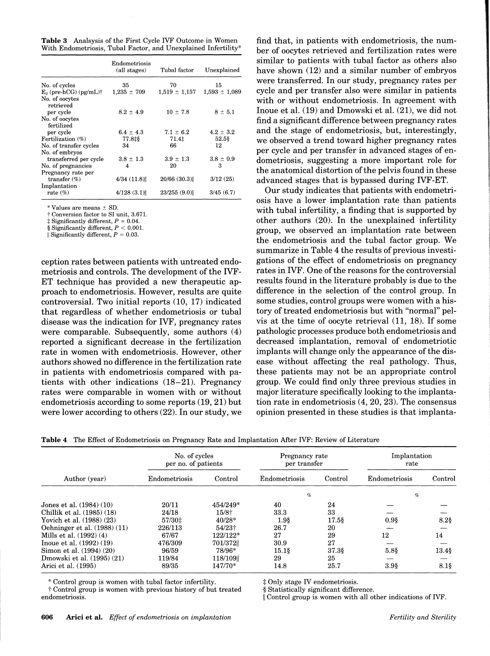Table 3 Analsysis of the First Cycle IVF Outcome in Women With Endometriosis, Tubal Factor, and Unexplained Infertility\*

|                              | Endometriosis<br>(all stages) | Tubal factor      | Unexplained       |
|------------------------------|-------------------------------|-------------------|-------------------|
| No. of cycles                | 35                            | 70                | 15                |
| $E_2$ (pre-hCG) (pg/mL)†     | $1.235 \pm 709$               | $1.519 \pm 1.157$ | $1,593 \pm 1,089$ |
| No. of oocytes<br>retrieved  |                               |                   |                   |
| per cycle                    | $8.2 \pm 4.9$                 | $10 \pm 7.8$      | $8 \pm 5.1$       |
| No. of oocytes<br>fertilized |                               |                   |                   |
| per cycle                    | $6.4 \pm 4.3$                 | $7.1 \pm 6.2$     | $4.2 \pm 3.2$     |
| Fertilization $(\%)$         | 77.8‡§                        | 71.4‡             | 52.58             |
| No. of transfer cycles       | 34                            | 66                | 12                |
| No. of embryos               |                               |                   |                   |
| transferred per cycle        | $3.8 \pm 1.3$                 | $3.9 \pm 1.3$     | $3.8 \pm 0.9$     |
| No. of pregnancies           | 4                             | 20                | з                 |
| Pregnancy rate per           |                               |                   |                   |
| transfer $(\%)$              | $4/34$ (11.8)                 | $20/66$ (30.3)    | 3/12(25)          |
| Implantation                 |                               |                   |                   |
| rate $(\%)$                  | $4/128$ (3.1)                 | 23/255(9.0)       | 3/45(6.7)         |

\* Values are means ± SD.

t Conversion factor to SI unit, 3.671.

 $\ddagger$  Significantly different,  $P = 0.04$ .

§ Significantly different,  $P < 0.001$ .

| Significantly different,  $P = 0.03$ .

ception rates between patients with untreated endometriosis and controls. The development of the IVF-ET technique has provided a new therapeutic approach to endometriosis. However, results are quite controversial. Two initial reports (10, 17) indicated that regardless of whether endometriosis or tubal disease was the indication for IVF, pregnancy rates were comparable. Subsequently, some authors (4) reported a significant decrease in the fertilization rate in women with endometriosis. However, other authors showed no difference in the fertilization rate in patients with endometriosis compared with patients with other indications (18-21). Pregnancy rates were comparable in women with or without endometriosis according to some reports (19, 21) but were lower according to others (22). In our study, we find that, in patients with endometriosis, the number of oocytes retrieved and fertilization rates were similar to patients with tubal factor as others also have shown (12) and a similar number of embryos were transferred. In our study, pregnancy rates per cycle and per transfer also were similar in patients with or without endometriosis. In agreement with Inoue et al. (19) and Dmowski et al. (21), we did not find a significant difference between pregnancy rates and the stage of endometriosis, but, interestingly, we observed a trend toward higher pregnancy rates per cycle and per transfer in advanced stages of endometriosis, suggesting a more important role for the anatomical distortion of the pelvis found in these advanced stages that is bypassed during IVF-ET.

Our study indicates that patients with endometriosis have a lower implantation rate than patients with tubal infertility, a finding that is supported by other authors (20). In the unexplained infertility group, we observed an implantation rate between the endometriosis and the tubal factor group. We summarize in Table 4 the results of previous investigations of the effect of endometriosis on pregnancy rates in IVF. One of the reasons for the controversial results found in the literature probably is due to the difference in the selection of the control group. In some studies, control groups were women with a history of treated endometriosis but with "normal" pelvis at the time of oocyte retrieval (11, 18). If some pathologic processes produce both endometriosis and decreased implantation, removal of endometriotic implants will change only the appearance of the disease without affecting the real pathology. Thus, these patients may not be an appropriate control group. We could find only three previous studies in major literature specifically looking to the implantation rate in endometriosis (4, 20, 23). The consensus opinion presented in these studies is that implanta-

Table 4 The Effect of Endometriosis on Pregnancy Rate and Implantation After IVF: Review of Literature

| Author (year)                | No. of cycles<br>per no. of patients |          | Pregnancy rate<br>per transfer |         | Implantation<br>rate |         |
|------------------------------|--------------------------------------|----------|--------------------------------|---------|----------------------|---------|
|                              | Endometriosis                        | Control  | Endometriosis                  | Control | Endometriosis        | Control |
|                              |                                      |          | $\%$                           |         | $\%$                 |         |
| Jones et al. (1984) (10)     | 20/11                                | 454/249* | 40                             | 24      |                      |         |
| Chillik et al. (1985) (18)   | 24/18                                | 15/8†    | 33.3                           | 33      |                      |         |
| Yovich et al. (1988) (23)    | 57/30 <sup>±</sup>                   | $40/28*$ | 1.98                           | 17.58   | 0.98                 | 8.28    |
| Oehninger et al. (1988) (11) | 226/113                              | $54/23+$ | 26.7                           | 20      |                      |         |
| Mills et al. (1992) (4)      | 67/67                                | 122/122* | 27                             | 29      | 12                   | 14      |
| Inoue et al. $(1992) (19)$   | 476/309                              | 701/3721 | 30.9                           | 27      |                      |         |
| Simon et al. (1994) (20)     | 96/59                                | 78/96*   | $15.1\$                        | 37.38   | 5.88                 | $13.4\$ |
| Dmowski et al. (1995) (21)   | 119/84                               | 118/109  | 29                             | 25      |                      |         |
| Arici et al. (1995)          | 89/35                                | 147/70*  | 14.8                           | 25.7    | 3.98                 | $8.1\$  |

\* Control group is women with tubal factor infertility.

t Control group is women with previous history of but treated endometriosis.

\* Only stage IV endometriosis.

§ Statistically significant difference.

II Control group is women with all other indications of IVF.